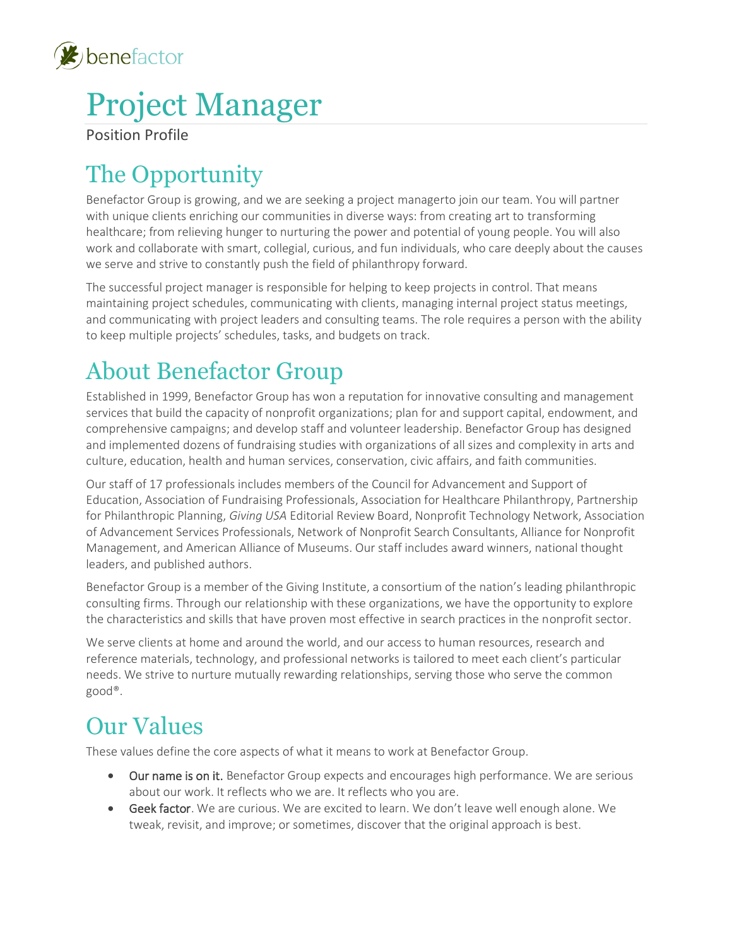

# Project Manager

Position Profile

# The Opportunity

Benefactor Group is growing, and we are seeking a project managerto join our team. You will partner with unique clients enriching our communities in diverse ways: from creating art to transforming healthcare; from relieving hunger to nurturing the power and potential of young people. You will also work and collaborate with smart, collegial, curious, and fun individuals, who care deeply about the causes we serve and strive to constantly push the field of philanthropy forward.

The successful project manager is responsible for helping to keep projects in control. That means maintaining project schedules, communicating with clients, managing internal project status meetings, and communicating with project leaders and consulting teams. The role requires a person with the ability to keep multiple projects' schedules, tasks, and budgets on track.

# About Benefactor Group

Established in 1999, Benefactor Group has won a reputation for innovative consulting and management services that build the capacity of nonprofit organizations; plan for and support capital, endowment, and comprehensive campaigns; and develop staff and volunteer leadership. Benefactor Group has designed and implemented dozens of fundraising studies with organizations of all sizes and complexity in arts and culture, education, health and human services, conservation, civic affairs, and faith communities.

Our staff of 17 professionals includes members of the Council for Advancement and Support of Education, Association of Fundraising Professionals, Association for Healthcare Philanthropy, Partnership for Philanthropic Planning, *Giving USA* Editorial Review Board, Nonprofit Technology Network, Association of Advancement Services Professionals, Network of Nonprofit Search Consultants, Alliance for Nonprofit Management, and American Alliance of Museums. Our staff includes award winners, national thought leaders, and published authors.

Benefactor Group is a member of the Giving Institute, a consortium of the nation's leading philanthropic consulting firms. Through our relationship with these organizations, we have the opportunity to explore the characteristics and skills that have proven most effective in search practices in the nonprofit sector.

We serve clients at home and around the world, and our access to human resources, research and reference materials, technology, and professional networks is tailored to meet each client's particular needs. We strive to nurture mutually rewarding relationships, serving those who serve the common good®.

# Our Values

These values define the core aspects of what it means to work at Benefactor Group.

- Our name is on it. Benefactor Group expects and encourages high performance. We are serious about our work. It reflects who we are. It reflects who you are.
- Geek factor. We are curious. We are excited to learn. We don't leave well enough alone. We tweak, revisit, and improve; or sometimes, discover that the original approach is best.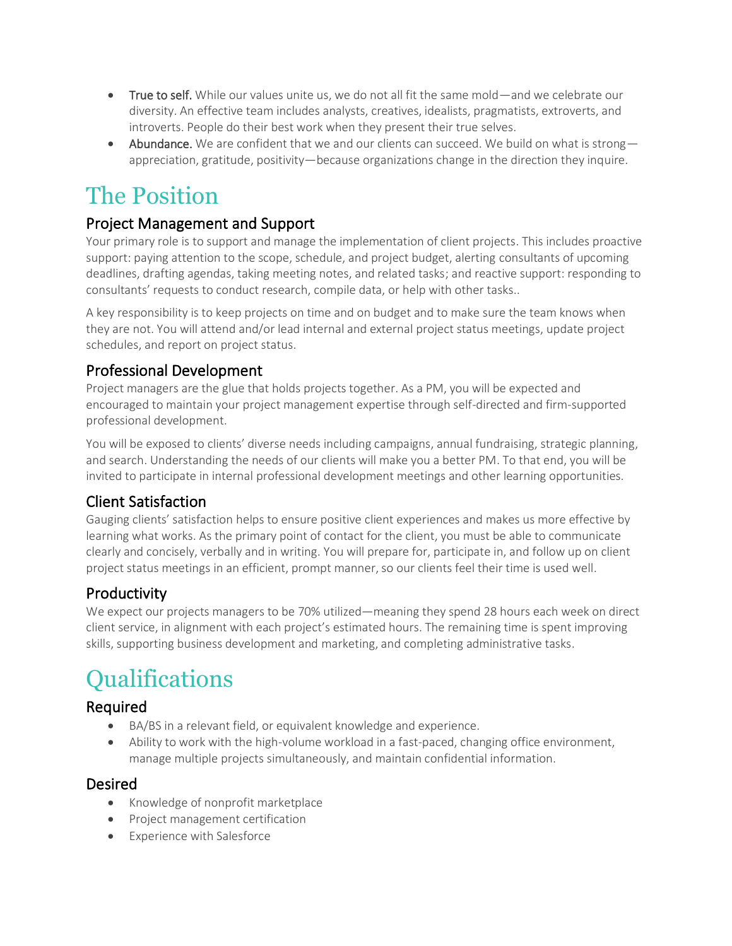- True to self. While our values unite us, we do not all fit the same mold—and we celebrate our diversity. An effective team includes analysts, creatives, idealists, pragmatists, extroverts, and introverts. People do their best work when they present their true selves.
- Abundance. We are confident that we and our clients can succeed. We build on what is strong appreciation, gratitude, positivity—because organizations change in the direction they inquire.

### The Position

#### Project Management and Support

Your primary role is to support and manage the implementation of client projects. This includes proactive support: paying attention to the scope, schedule, and project budget, alerting consultants of upcoming deadlines, drafting agendas, taking meeting notes, and related tasks; and reactive support: responding to consultants' requests to conduct research, compile data, or help with other tasks..

A key responsibility is to keep projects on time and on budget and to make sure the team knows when they are not. You will attend and/or lead internal and external project status meetings, update project schedules, and report on project status.

#### Professional Development

Project managers are the glue that holds projects together. As a PM, you will be expected and encouraged to maintain your project management expertise through self-directed and firm-supported professional development.

You will be exposed to clients' diverse needs including campaigns, annual fundraising, strategic planning, and search. Understanding the needs of our clients will make you a better PM. To that end, you will be invited to participate in internal professional development meetings and other learning opportunities.

#### Client Satisfaction

Gauging clients' satisfaction helps to ensure positive client experiences and makes us more effective by learning what works. As the primary point of contact for the client, you must be able to communicate clearly and concisely, verbally and in writing. You will prepare for, participate in, and follow up on client project status meetings in an efficient, prompt manner, so our clients feel their time is used well.

#### **Productivity**

We expect our projects managers to be 70% utilized—meaning they spend 28 hours each week on direct client service, in alignment with each project's estimated hours. The remaining time is spent improving skills, supporting business development and marketing, and completing administrative tasks.

# Qualifications

#### Required

- BA/BS in a relevant field, or equivalent knowledge and experience.
- Ability to work with the high-volume workload in a fast-paced, changing office environment, manage multiple projects simultaneously, and maintain confidential information.

#### Desired

- Knowledge of nonprofit marketplace
- Project management certification
- Experience with Salesforce